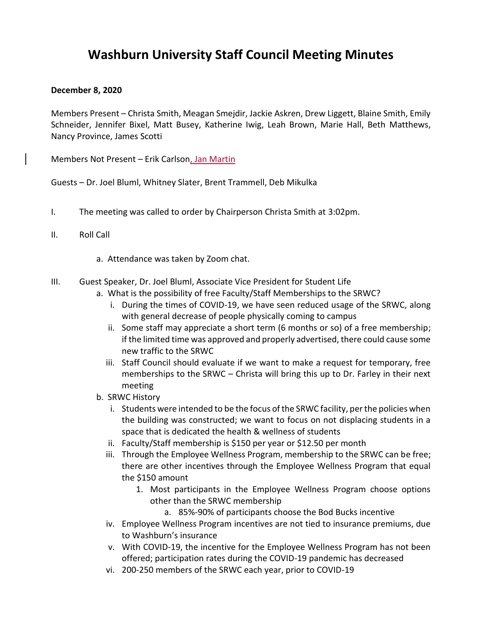## **Washburn University Staff Council Meeting Minutes**

## **December 8, 2020**

Members Present – Christa Smith, Meagan Smejdir, Jackie Askren, Drew Liggett, Blaine Smith, Emily Schneider, Jennifer Bixel, Matt Busey, Katherine Iwig, Leah Brown, Marie Hall, Beth Matthews, Nancy Province, James Scotti

Members Not Present – Erik Carlson, Jan Martin

Guests – Dr. Joel Bluml, Whitney Slater, Brent Trammell, Deb Mikulka

- I. The meeting was called to order by Chairperson Christa Smith at 3:02pm.
- II. Roll Call
	- a. Attendance was taken by Zoom chat.
- III. Guest Speaker, Dr. Joel Bluml, Associate Vice President for Student Life
	- a. What is the possibility of free Faculty/Staff Memberships to the SRWC?
		- i. During the times of COVID-19, we have seen reduced usage of the SRWC, along with general decrease of people physically coming to campus
		- ii. Some staff may appreciate a short term (6 months or so) of a free membership; if the limited time was approved and properly advertised, there could cause some new traffic to the SRWC
		- iii. Staff Council should evaluate if we want to make a request for temporary, free memberships to the SRWC – Christa will bring this up to Dr. Farley in their next meeting
	- b. SRWC History
		- i. Students were intended to be the focus of the SRWC facility, per the policies when the building was constructed; we want to focus on not displacing students in a space that is dedicated the health & wellness of students
		- ii. Faculty/Staff membership is \$150 per year or \$12.50 per month
		- iii. Through the Employee Wellness Program, membership to the SRWC can be free; there are other incentives through the Employee Wellness Program that equal the \$150 amount
			- 1. Most participants in the Employee Wellness Program choose options other than the SRWC membership
				- a. 85%-90% of participants choose the Bod Bucks incentive
		- iv. Employee Wellness Program incentives are not tied to insurance premiums, due to Washburn's insurance
		- v. With COVID-19, the incentive for the Employee Wellness Program has not been offered; participation rates during the COVID-19 pandemic has decreased
		- vi. 200-250 members of the SRWC each year, prior to COVID-19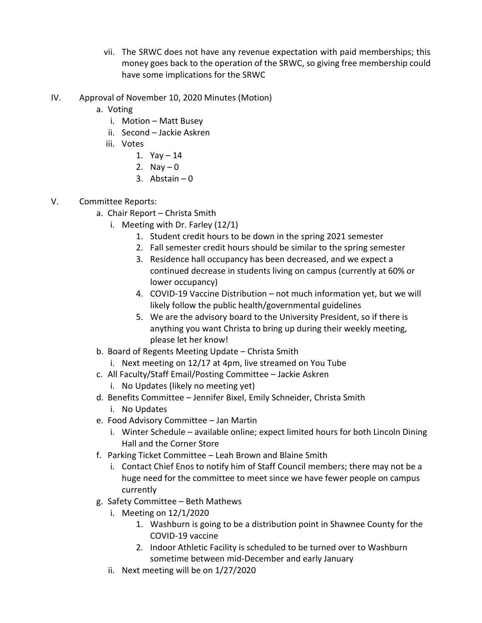- vii. The SRWC does not have any revenue expectation with paid memberships; this money goes back to the operation of the SRWC, so giving free membership could have some implications for the SRWC
- IV. Approval of November 10, 2020 Minutes (Motion)
	- a. Voting
		- i. Motion Matt Busey
		- ii. Second Jackie Askren
		- iii. Votes
			- 1.  $Yay 14$
			- 2. Nav  $-0$
			- 3. Abstain  $-0$
- V. Committee Reports:
	- a. Chair Report Christa Smith
		- i. Meeting with Dr. Farley (12/1)
			- 1. Student credit hours to be down in the spring 2021 semester
			- 2. Fall semester credit hours should be similar to the spring semester
			- 3. Residence hall occupancy has been decreased, and we expect a continued decrease in students living on campus (currently at 60% or lower occupancy)
			- 4. COVID-19 Vaccine Distribution not much information yet, but we will likely follow the public health/governmental guidelines
			- 5. We are the advisory board to the University President, so if there is anything you want Christa to bring up during their weekly meeting, please let her know!
	- b. Board of Regents Meeting Update Christa Smith
		- i. Next meeting on 12/17 at 4pm, live streamed on You Tube
	- c. All Faculty/Staff Email/Posting Committee Jackie Askren i. No Updates (likely no meeting yet)
	- d. Benefits Committee Jennifer Bixel, Emily Schneider, Christa Smith
		- i. No Updates
	- e. Food Advisory Committee Jan Martin
		- i. Winter Schedule available online; expect limited hours for both Lincoln Dining Hall and the Corner Store
	- f. Parking Ticket Committee Leah Brown and Blaine Smith
		- i. Contact Chief Enos to notify him of Staff Council members; there may not be a huge need for the committee to meet since we have fewer people on campus currently
	- g. Safety Committee Beth Mathews
		- i. Meeting on 12/1/2020
			- 1. Washburn is going to be a distribution point in Shawnee County for the COVID-19 vaccine
			- 2. Indoor Athletic Facility is scheduled to be turned over to Washburn sometime between mid-December and early January
		- ii. Next meeting will be on 1/27/2020